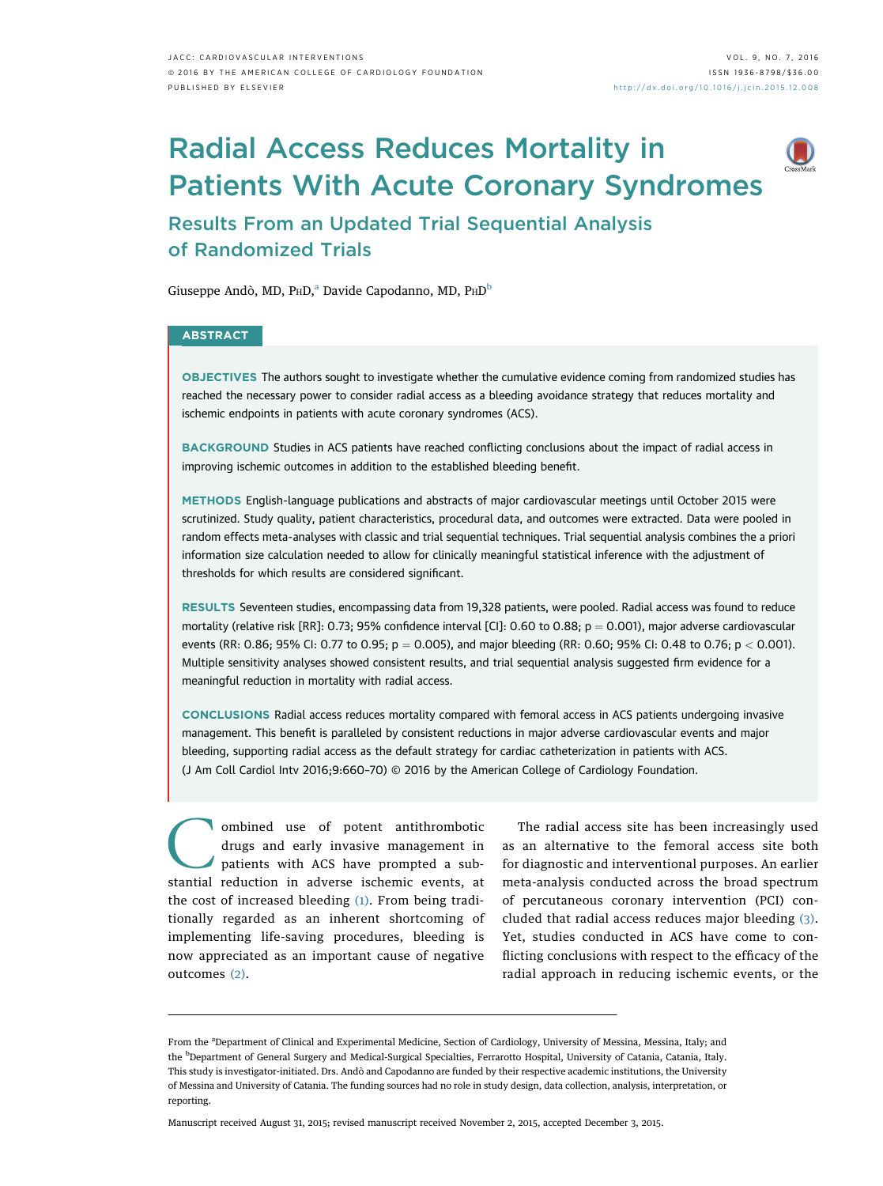# Radial Access Reduces Mortality in Patients With Acute Coronary Syndromes



# Results From an Updated Trial Sequential Analysis of Randomized Trials

Giuseppe Andò, MD, P $HD<sub>n</sub><sup>a</sup>$  Davide Capodanno, MD,  $PhD<sup>b</sup>$ 

### **ABSTRACT**

OBJECTIVES The authors sought to investigate whether the cumulative evidence coming from randomized studies has reached the necessary power to consider radial access as a bleeding avoidance strategy that reduces mortality and ischemic endpoints in patients with acute coronary syndromes (ACS).

BACKGROUND Studies in ACS patients have reached conflicting conclusions about the impact of radial access in improving ischemic outcomes in addition to the established bleeding benefit.

METHODS English-language publications and abstracts of major cardiovascular meetings until October 2015 were scrutinized. Study quality, patient characteristics, procedural data, and outcomes were extracted. Data were pooled in random effects meta-analyses with classic and trial sequential techniques. Trial sequential analysis combines the a priori information size calculation needed to allow for clinically meaningful statistical inference with the adjustment of thresholds for which results are considered significant.

RESULTS Seventeen studies, encompassing data from 19,328 patients, were pooled. Radial access was found to reduce mortality (relative risk [RR]: 0.73; 95% confidence interval [CI]: 0.60 to 0.88;  $p = 0.001$ ), major adverse cardiovascular events (RR: 0.86; 95% CI: 0.77 to 0.95;  $p = 0.005$ ), and major bleeding (RR: 0.60; 95% CI: 0.48 to 0.76;  $p < 0.001$ ). Multiple sensitivity analyses showed consistent results, and trial sequential analysis suggested firm evidence for a meaningful reduction in mortality with radial access.

CONCLUSIONS Radial access reduces mortality compared with femoral access in ACS patients undergoing invasive management. This benefit is paralleled by consistent reductions in major adverse cardiovascular events and major bleeding, supporting radial access as the default strategy for cardiac catheterization in patients with ACS. (J Am Coll Cardiol Intv 2016;9:660–70) © 2016 by the American College of Cardiology Foundation.

ombined use of potent antithrombotic drugs and early invasive management in patients with ACS have prompted a substantial reduction in adverse ischemic events, at the cost of increased bleeding [\(1\).](#page-9-0) From being traditionally regarded as an inherent shortcoming of implementing life-saving procedures, bleeding is now appreciated as an important cause of negative outcomes [\(2\)](#page-9-0).

The radial access site has been increasingly used as an alternative to the femoral access site both for diagnostic and interventional purposes. An earlier meta-analysis conducted across the broad spectrum of percutaneous coronary intervention (PCI) concluded that radial access reduces major bleeding [\(3\).](#page-9-0) Yet, studies conducted in ACS have come to conflicting conclusions with respect to the efficacy of the radial approach in reducing ischemic events, or the

Manuscript received August 31, 2015; revised manuscript received November 2, 2015, accepted December 3, 2015.

From the <sup>a</sup>Department of Clinical and Experimental Medicine, Section of Cardiology, University of Messina, Messina, Italy; and the <sup>b</sup>Department of General Surgery and Medical-Surgical Specialties, Ferrarotto Hospital, University of Catania, Catania, Italy. This study is investigator-initiated. Drs. Andò and Capodanno are funded by their respective academic institutions, the University of Messina and University of Catania. The funding sources had no role in study design, data collection, analysis, interpretation, or reporting.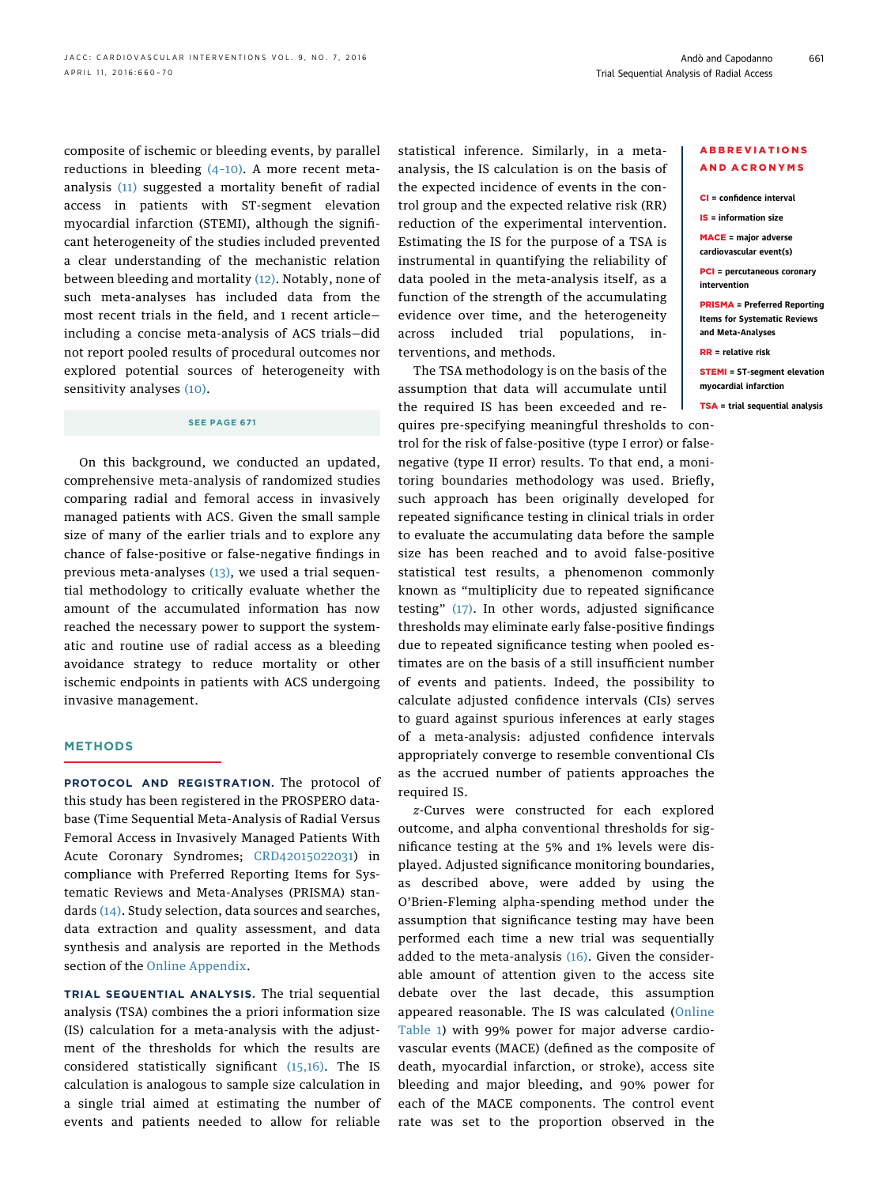composite of ischemic or bleeding events, by parallel reductions in bleeding  $(4-10)$ . A more recent metaanalysis [\(11\)](#page-9-0) suggested a mortality benefit of radial access in patients with ST-segment elevation myocardial infarction (STEMI), although the significant heterogeneity of the studies included prevented a clear understanding of the mechanistic relation between bleeding and mortality [\(12\).](#page-9-0) Notably, none of such meta-analyses has included data from the most recent trials in the field, and 1 recent article including a concise meta-analysis of ACS trials—did not report pooled results of procedural outcomes nor explored potential sources of heterogeneity with sensitivity analyses [\(10\).](#page-9-0)

# SEE PAGE 671

On this background, we conducted an updated, comprehensive meta-analysis of randomized studies comparing radial and femoral access in invasively managed patients with ACS. Given the small sample size of many of the earlier trials and to explore any chance of false-positive or false-negative findings in previous meta-analyses [\(13\)](#page-9-0), we used a trial sequential methodology to critically evaluate whether the amount of the accumulated information has now reached the necessary power to support the systematic and routine use of radial access as a bleeding avoidance strategy to reduce mortality or other ischemic endpoints in patients with ACS undergoing invasive management.

#### METHODS

PROTOCOL AND REGISTRATION. The protocol of this study has been registered in the PROSPERO database (Time Sequential Meta-Analysis of Radial Versus Femoral Access in Invasively Managed Patients With Acute Coronary Syndromes; [CRD42015022031\)](http://www.crd.york.ac.uk/PROSPERO/display_record.asp?ID=CRD42015022031) in compliance with Preferred Reporting Items for Systematic Reviews and Meta-Analyses (PRISMA) standards [\(14\)](#page-9-0). Study selection, data sources and searches, data extraction and quality assessment, and data synthesis and analysis are reported in the Methods section of the [Online Appendix](http://dx.doi.org/10.1016/j.jcin.2015.12.008).

TRIAL SEQUENTIAL ANALYSIS. The trial sequential analysis (TSA) combines the a priori information size (IS) calculation for a meta-analysis with the adjustment of the thresholds for which the results are considered statistically significant [\(15,16\).](#page-9-0) The IS calculation is analogous to sample size calculation in a single trial aimed at estimating the number of events and patients needed to allow for reliable statistical inference. Similarly, in a metaanalysis, the IS calculation is on the basis of the expected incidence of events in the control group and the expected relative risk (RR) reduction of the experimental intervention. Estimating the IS for the purpose of a TSA is instrumental in quantifying the reliability of data pooled in the meta-analysis itself, as a function of the strength of the accumulating evidence over time, and the heterogeneity across included trial populations, interventions, and methods.

The TSA methodology is on the basis of the assumption that data will accumulate until the required IS has been exceeded and re-

quires pre-specifying meaningful thresholds to control for the risk of false-positive (type I error) or falsenegative (type II error) results. To that end, a monitoring boundaries methodology was used. Briefly, such approach has been originally developed for repeated significance testing in clinical trials in order to evaluate the accumulating data before the sample size has been reached and to avoid false-positive statistical test results, a phenomenon commonly known as "multiplicity due to repeated significance testing" [\(17\).](#page-9-0) In other words, adjusted significance thresholds may eliminate early false-positive findings due to repeated significance testing when pooled estimates are on the basis of a still insufficient number of events and patients. Indeed, the possibility to calculate adjusted confidence intervals (CIs) serves to guard against spurious inferences at early stages of a meta-analysis: adjusted confidence intervals appropriately converge to resemble conventional CIs as the accrued number of patients approaches the required IS.

z-Curves were constructed for each explored outcome, and alpha conventional thresholds for significance testing at the 5% and 1% levels were displayed. Adjusted significance monitoring boundaries, as described above, were added by using the O'Brien-Fleming alpha-spending method under the assumption that significance testing may have been performed each time a new trial was sequentially added to the meta-analysis [\(16\).](#page-9-0) Given the considerable amount of attention given to the access site debate over the last decade, this assumption appeared reasonable. The IS was calculated [\(Online](http://dx.doi.org/10.1016/j.jcin.2015.12.008) [Table 1](http://dx.doi.org/10.1016/j.jcin.2015.12.008)) with 99% power for major adverse cardiovascular events (MACE) (defined as the composite of death, myocardial infarction, or stroke), access site bleeding and major bleeding, and 90% power for each of the MACE components. The control event rate was set to the proportion observed in the

#### ABBREVIATIONS AND ACRONYMS

CI = confidence interval

IS = information size

MACE = major adverse cardiovascular event(s)

PCI = percutaneous coronary intervention

PRISMA = Preferred Reporting Items for Systematic Reviews and Meta-Analyses

RR = relative risk

STEMI = ST-segment elevation myocardial infarction

TSA = trial sequential analysis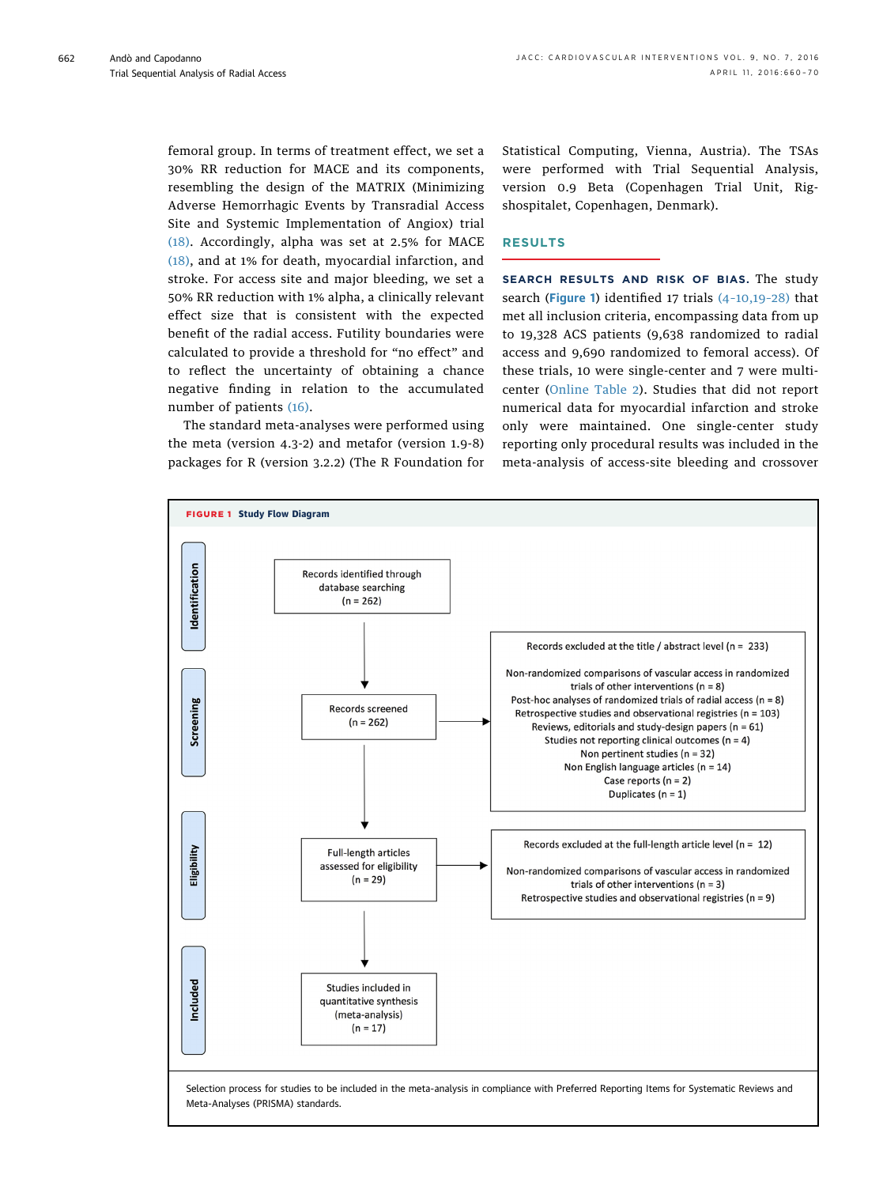femoral group. In terms of treatment effect, we set a 30% RR reduction for MACE and its components, resembling the design of the MATRIX (Minimizing Adverse Hemorrhagic Events by Transradial Access Site and Systemic Implementation of Angiox) trial [\(18\).](#page-9-0) Accordingly, alpha was set at 2.5% for MACE [\(18\),](#page-9-0) and at 1% for death, myocardial infarction, and stroke. For access site and major bleeding, we set a 50% RR reduction with 1% alpha, a clinically relevant effect size that is consistent with the expected benefit of the radial access. Futility boundaries were calculated to provide a threshold for "no effect" and to reflect the uncertainty of obtaining a chance negative finding in relation to the accumulated number of patients [\(16\).](#page-9-0)

The standard meta-analyses were performed using the meta (version 4.3-2) and metafor (version 1.9-8) packages for R (version 3.2.2) (The R Foundation for Statistical Computing, Vienna, Austria). The TSAs were performed with Trial Sequential Analysis, version 0.9 Beta (Copenhagen Trial Unit, Rigshospitalet, Copenhagen, Denmark).

#### RESULTS

SEARCH RESULTS AND RISK OF BIAS. The study search (Figure 1) identified 17 trials (4–[10,19](#page-9-0)–28) that met all inclusion criteria, encompassing data from up to 19,328 ACS patients (9,638 randomized to radial access and 9,690 randomized to femoral access). Of these trials, 10 were single-center and 7 were multicenter [\(Online Table 2\)](http://dx.doi.org/10.1016/j.jcin.2015.12.008). Studies that did not report numerical data for myocardial infarction and stroke only were maintained. One single-center study reporting only procedural results was included in the meta-analysis of access-site bleeding and crossover

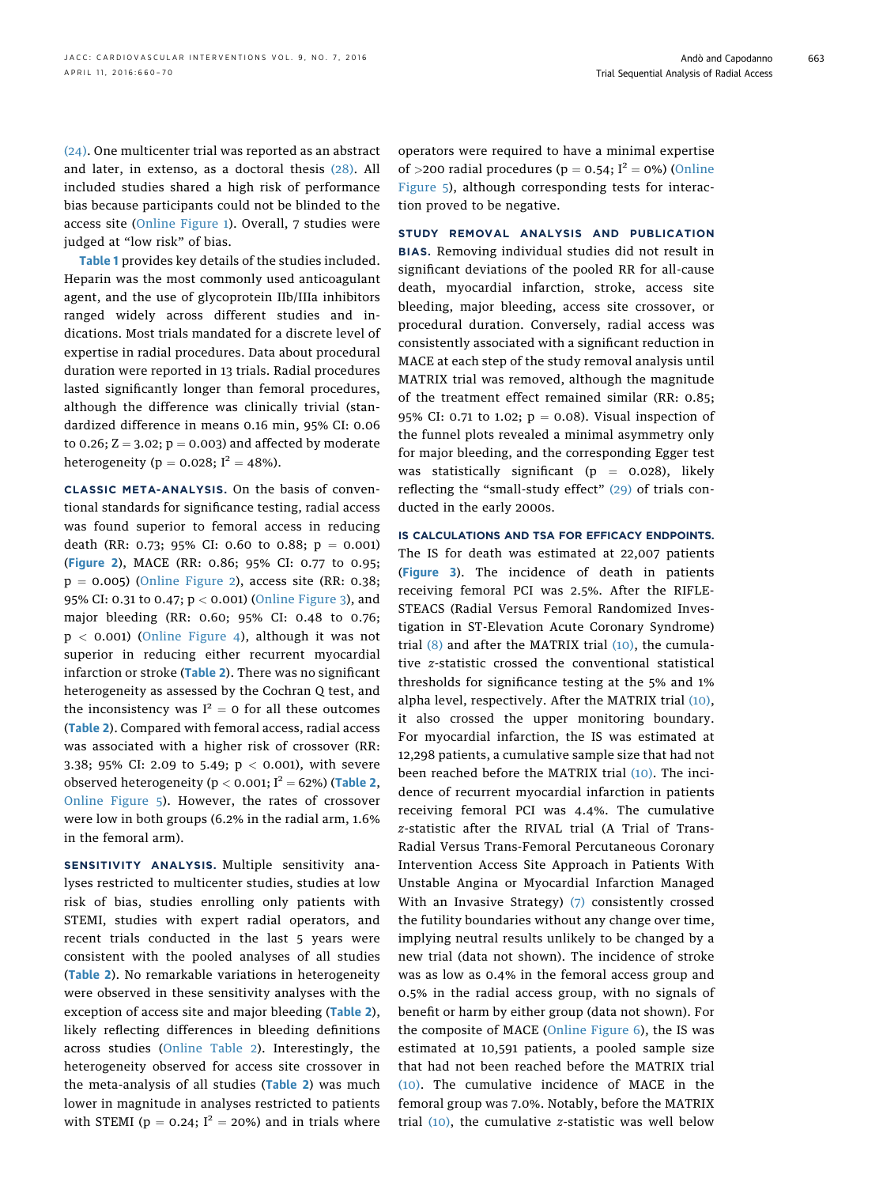[\(24\).](#page-9-0) One multicenter trial was reported as an abstract and later, in extenso, as a doctoral thesis [\(28\)](#page-9-0). All included studies shared a high risk of performance bias because participants could not be blinded to the access site ([Online Figure 1](http://dx.doi.org/10.1016/j.jcin.2015.12.008)). Overall, 7 studies were judged at "low risk" of bias.

[Table 1](#page-4-0) provides key details of the studies included. Heparin was the most commonly used anticoagulant agent, and the use of glycoprotein IIb/IIIa inhibitors ranged widely across different studies and indications. Most trials mandated for a discrete level of expertise in radial procedures. Data about procedural duration were reported in 13 trials. Radial procedures lasted significantly longer than femoral procedures, although the difference was clinically trivial (standardized difference in means 0.16 min, 95% CI: 0.06 to 0.26;  $Z = 3.02$ ;  $p = 0.003$ ) and affected by moderate heterogeneity ( $p = 0.028$ ;  $I^2 = 48%$ ).

CLASSIC META-ANALYSIS. On the basis of conventional standards for significance testing, radial access was found superior to femoral access in reducing death (RR: 0.73; 95% CI: 0.60 to 0.88;  $p = 0.001$ ) ([Figure 2](#page-5-0)), MACE (RR: 0.86; 95% CI: 0.77 to 0.95;  $p = 0.005$ ) [\(Online Figure 2\)](http://dx.doi.org/10.1016/j.jcin.2015.12.008), access site (RR: 0.38; 95% CI: 0.31 to 0.47; p < 0.001) [\(Online Figure 3\)](http://dx.doi.org/10.1016/j.jcin.2015.12.008), and major bleeding (RR: 0.60; 95% CI: 0.48 to 0.76; p < 0.001) ([Online Figure 4](http://dx.doi.org/10.1016/j.jcin.2015.12.008)), although it was not superior in reducing either recurrent myocardial infarction or stroke ([Table 2](#page-6-0)). There was no significant heterogeneity as assessed by the Cochran Q test, and the inconsistency was  $I^2 = 0$  for all these outcomes ([Table 2](#page-6-0)). Compared with femoral access, radial access was associated with a higher risk of crossover (RR: 3.38; 95% CI: 2.09 to 5.49; p < 0.001), with severe observed heterogeneity ( $p < 0.001$ ;  $I^2 = 62%$ ) ([Table 2](#page-6-0), [Online Figure 5\)](http://dx.doi.org/10.1016/j.jcin.2015.12.008). However, the rates of crossover were low in both groups (6.2% in the radial arm, 1.6% in the femoral arm).

SENSITIVITY ANALYSIS. Multiple sensitivity analyses restricted to multicenter studies, studies at low risk of bias, studies enrolling only patients with STEMI, studies with expert radial operators, and recent trials conducted in the last 5 years were consistent with the pooled analyses of all studies ([Table 2](#page-6-0)). No remarkable variations in heterogeneity were observed in these sensitivity analyses with the exception of access site and major bleeding ([Table 2](#page-6-0)), likely reflecting differences in bleeding definitions across studies [\(Online Table 2\).](http://dx.doi.org/10.1016/j.jcin.2015.12.008) Interestingly, the heterogeneity observed for access site crossover in the meta-analysis of all studies ([Table 2](#page-6-0)) was much lower in magnitude in analyses restricted to patients with STEMI ( $p = 0.24$ ;  $I^2 = 20\%$ ) and in trials where operators were required to have a minimal expertise of >200 radial procedures ( $p = 0.54$ ; I<sup>2</sup> = 0%) [\(Online](http://dx.doi.org/10.1016/j.jcin.2015.12.008) [Figure 5\),](http://dx.doi.org/10.1016/j.jcin.2015.12.008) although corresponding tests for interaction proved to be negative.

STUDY REMOVAL ANALYSIS AND PUBLICATION BIAS. Removing individual studies did not result in significant deviations of the pooled RR for all-cause death, myocardial infarction, stroke, access site bleeding, major bleeding, access site crossover, or procedural duration. Conversely, radial access was consistently associated with a significant reduction in MACE at each step of the study removal analysis until MATRIX trial was removed, although the magnitude of the treatment effect remained similar (RR: 0.85; 95% CI: 0.71 to 1.02;  $p = 0.08$ ). Visual inspection of the funnel plots revealed a minimal asymmetry only for major bleeding, and the corresponding Egger test was statistically significant ( $p = 0.028$ ), likely reflecting the "small-study effect" [\(29\)](#page-9-0) of trials conducted in the early 2000s.

IS CALCULATIONS AND TSA FOR EFFICACY ENDPOINTS. The IS for death was estimated at 22,007 patients ([Figure 3](#page-7-0)). The incidence of death in patients receiving femoral PCI was 2.5%. After the RIFLE-STEACS (Radial Versus Femoral Randomized Investigation in ST-Elevation Acute Coronary Syndrome) trial [\(8\)](#page-9-0) and after the MATRIX trial [\(10\),](#page-9-0) the cumulative z-statistic crossed the conventional statistical thresholds for significance testing at the 5% and 1% alpha level, respectively. After the MATRIX trial [\(10\),](#page-9-0) it also crossed the upper monitoring boundary. For myocardial infarction, the IS was estimated at 12,298 patients, a cumulative sample size that had not been reached before the MATRIX trial [\(10\)](#page-9-0). The incidence of recurrent myocardial infarction in patients receiving femoral PCI was 4.4%. The cumulative z-statistic after the RIVAL trial (A Trial of Trans-Radial Versus Trans-Femoral Percutaneous Coronary Intervention Access Site Approach in Patients With Unstable Angina or Myocardial Infarction Managed With an Invasive Strategy) [\(7\)](#page-9-0) consistently crossed the futility boundaries without any change over time, implying neutral results unlikely to be changed by a new trial (data not shown). The incidence of stroke was as low as 0.4% in the femoral access group and 0.5% in the radial access group, with no signals of benefit or harm by either group (data not shown). For the composite of MACE [\(Online Figure 6\)](http://dx.doi.org/10.1016/j.jcin.2015.12.008), the IS was estimated at 10,591 patients, a pooled sample size that had not been reached before the MATRIX trial [\(10\)](#page-9-0). The cumulative incidence of MACE in the femoral group was 7.0%. Notably, before the MATRIX trial  $(10)$ , the cumulative z-statistic was well below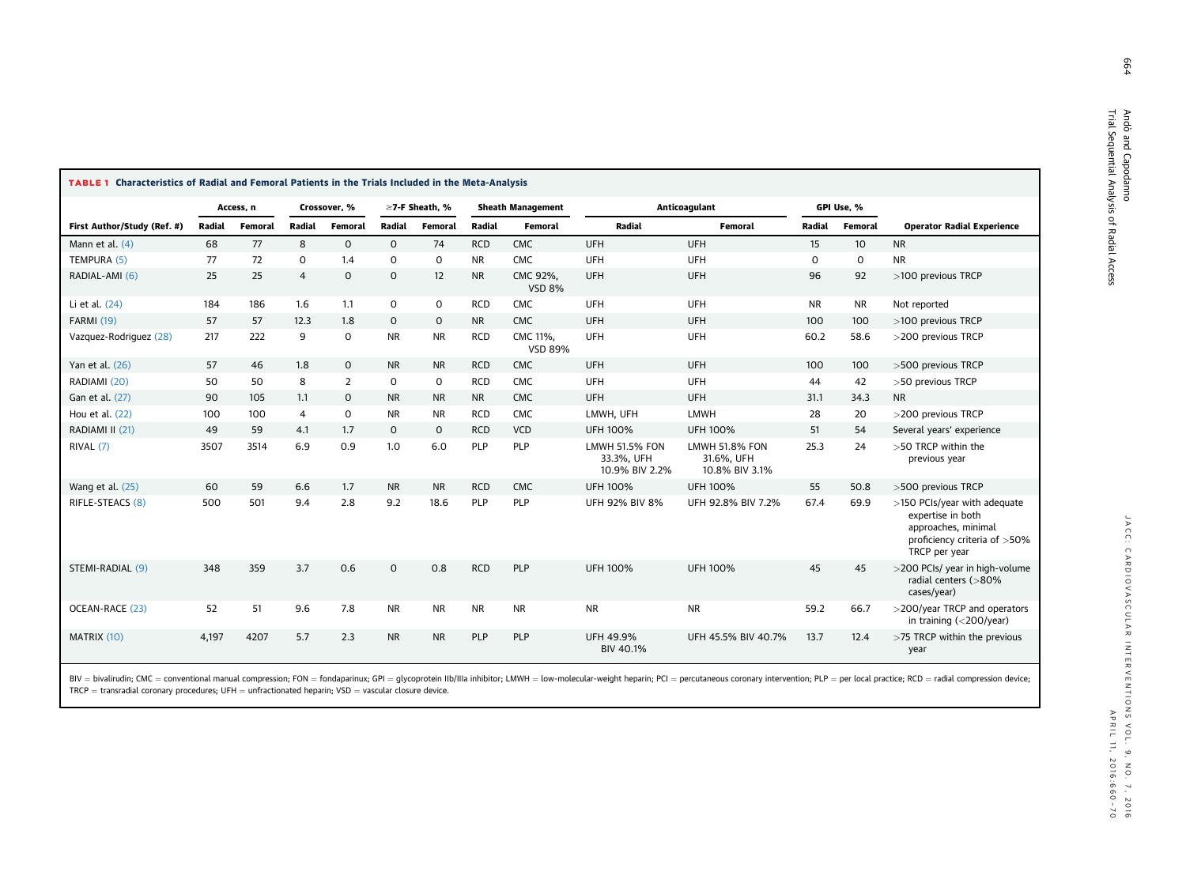| <b>TABLE 1 Characteristics of Radial and Femoral Patients in the Trials Included in the Meta-Analysis</b> |           |         |                |                |                |           |                          |                            |                                                       |                                                       |             |           |                                                                                                                           |
|-----------------------------------------------------------------------------------------------------------|-----------|---------|----------------|----------------|----------------|-----------|--------------------------|----------------------------|-------------------------------------------------------|-------------------------------------------------------|-------------|-----------|---------------------------------------------------------------------------------------------------------------------------|
|                                                                                                           | Access, n |         | Crossover, %   |                | ≥7-F Sheath. % |           | <b>Sheath Management</b> |                            | Anticoagulant                                         |                                                       | GPI Use, %  |           |                                                                                                                           |
| First Author/Study (Ref. #)                                                                               | Radial    | Femoral | Radial         | Femoral        | Radial         | Femoral   | Radial                   | Femoral                    | Radial                                                | Femoral                                               | Radial      | Femoral   | <b>Operator Radial Experience</b>                                                                                         |
| Mann et al. $(4)$                                                                                         | 68        | 77      | 8              | $\mathsf{O}$   | $\mathbf 0$    | 74        | <b>RCD</b>               | <b>CMC</b>                 | <b>UFH</b>                                            | <b>UFH</b>                                            | 15          | 10        | <b>NR</b>                                                                                                                 |
| TEMPURA (5)                                                                                               | 77        | 72      | $\mathsf{o}$   | 1.4            | 0              | 0         | <b>NR</b>                | <b>CMC</b>                 | <b>UFH</b>                                            | <b>UFH</b>                                            | $\mathbf 0$ | 0         | <b>NR</b>                                                                                                                 |
| RADIAL-AMI (6)                                                                                            | 25        | 25      | $\overline{4}$ | $\mathbf 0$    | $\mathbf 0$    | 12        | <b>NR</b>                | CMC 92%,<br><b>VSD 8%</b>  | <b>UFH</b>                                            | <b>UFH</b>                                            | 96          | 92        | >100 previous TRCP                                                                                                        |
| Li et al. (24)                                                                                            | 184       | 186     | 1.6            | 1.1            | 0              | 0         | <b>RCD</b>               | CMC                        | <b>UFH</b>                                            | UFH                                                   | <b>NR</b>   | <b>NR</b> | Not reported                                                                                                              |
| <b>FARMI (19)</b>                                                                                         | 57        | 57      | 12.3           | 1.8            | $\mathbf 0$    | 0         | <b>NR</b>                | <b>CMC</b>                 | <b>UFH</b>                                            | <b>UFH</b>                                            | 100         | 100       | >100 previous TRCP                                                                                                        |
| Vazquez-Rodriquez (28)                                                                                    | 217       | 222     | 9              | 0              | <b>NR</b>      | <b>NR</b> | <b>RCD</b>               | CMC 11%,<br><b>VSD 89%</b> | <b>UFH</b>                                            | <b>UFH</b>                                            | 60.2        | 58.6      | >200 previous TRCP                                                                                                        |
| Yan et al. (26)                                                                                           | 57        | 46      | 1.8            | 0              | <b>NR</b>      | <b>NR</b> | <b>RCD</b>               | <b>CMC</b>                 | <b>UFH</b>                                            | <b>UFH</b>                                            | 100         | 100       | >500 previous TRCP                                                                                                        |
| RADIAMI (20)                                                                                              | 50        | 50      | 8              | $\overline{2}$ | $\mathbf 0$    | 0         | <b>RCD</b>               | <b>CMC</b>                 | <b>UFH</b>                                            | <b>UFH</b>                                            | 44          | 42        | >50 previous TRCP                                                                                                         |
| Gan et al. (27)                                                                                           | 90        | 105     | 1.1            | 0              | <b>NR</b>      | <b>NR</b> | <b>NR</b>                | <b>CMC</b>                 | <b>UFH</b>                                            | <b>UFH</b>                                            | 31.1        | 34.3      | <b>NR</b>                                                                                                                 |
| Hou et al. (22)                                                                                           | 100       | 100     | $\overline{4}$ | 0              | <b>NR</b>      | <b>NR</b> | <b>RCD</b>               | <b>CMC</b>                 | LMWH, UFH                                             | <b>LMWH</b>                                           | 28          | 20        | >200 previous TRCP                                                                                                        |
| RADIAMI II (21)                                                                                           | 49        | 59      | 4.1            | 1.7            | $\mathbf 0$    | 0         | <b>RCD</b>               | VCD                        | <b>UFH 100%</b>                                       | <b>UFH 100%</b>                                       | 51          | 54        | Several years' experience                                                                                                 |
| RIVAL (7)                                                                                                 | 3507      | 3514    | 6.9            | 0.9            | 1.0            | 6.0       | PLP                      | PLP                        | <b>LMWH 51.5% FON</b><br>33.3%, UFH<br>10.9% BIV 2.2% | <b>LMWH 51.8% FON</b><br>31.6%, UFH<br>10.8% BIV 3.1% | 25.3        | 24        | >50 TRCP within the<br>previous year                                                                                      |
| Wang et al. (25)                                                                                          | 60        | 59      | 6.6            | 1.7            | <b>NR</b>      | <b>NR</b> | <b>RCD</b>               | <b>CMC</b>                 | <b>UFH 100%</b>                                       | <b>UFH 100%</b>                                       | 55          | 50.8      | >500 previous TRCP                                                                                                        |
| RIFLE-STEACS (8)                                                                                          | 500       | 501     | 9.4            | 2.8            | 9.2            | 18.6      | PLP                      | <b>PLP</b>                 | <b>UFH 92% BIV 8%</b>                                 | UFH 92.8% BIV 7.2%                                    | 67.4        | 69.9      | >150 PCIs/year with adequate<br>expertise in both<br>approaches, minimal<br>proficiency criteria of >50%<br>TRCP per year |
| STEMI-RADIAL (9)                                                                                          | 348       | 359     | 3.7            | 0.6            | $\mathbf 0$    | 0.8       | <b>RCD</b>               | <b>PLP</b>                 | <b>UFH 100%</b>                                       | <b>UFH 100%</b>                                       | 45          | 45        | >200 PCIs/ year in high-volume<br>radial centers (>80%<br>cases/year)                                                     |
| OCEAN-RACE (23)                                                                                           | 52        | 51      | 9.6            | 7.8            | <b>NR</b>      | <b>NR</b> | <b>NR</b>                | <b>NR</b>                  | <b>NR</b>                                             | <b>NR</b>                                             | 59.2        | 66.7      | >200/year TRCP and operators<br>in training $(<$ 200/year)                                                                |
| MATRIX (10)                                                                                               | 4,197     | 4207    | 5.7            | 2.3            | <b>NR</b>      | <b>NR</b> | PLP                      | <b>PLP</b>                 | UFH 49.9%<br>BIV 40.1%                                | UFH 45.5% BIV 40.7%                                   | 13.7        | 12.4      | >75 TRCP within the previous<br>year                                                                                      |

<span id="page-4-0"></span> $\Box$ 

BIV = bivalirudin; CMC = conventional manual compression; FON = fondaparinux; GPI = glycoprotein Ilb/IIIa inhibitor; LMWH = low-molecular-weight heparin; PCI = percutaneous coronary intervention; PLP = per local practice;  $\textsf{TRCP} = \textsf{transr}$ adial coronary procedures; UFH  $=$  unfractionated heparin; VSD  $=$  vascular closure device.

664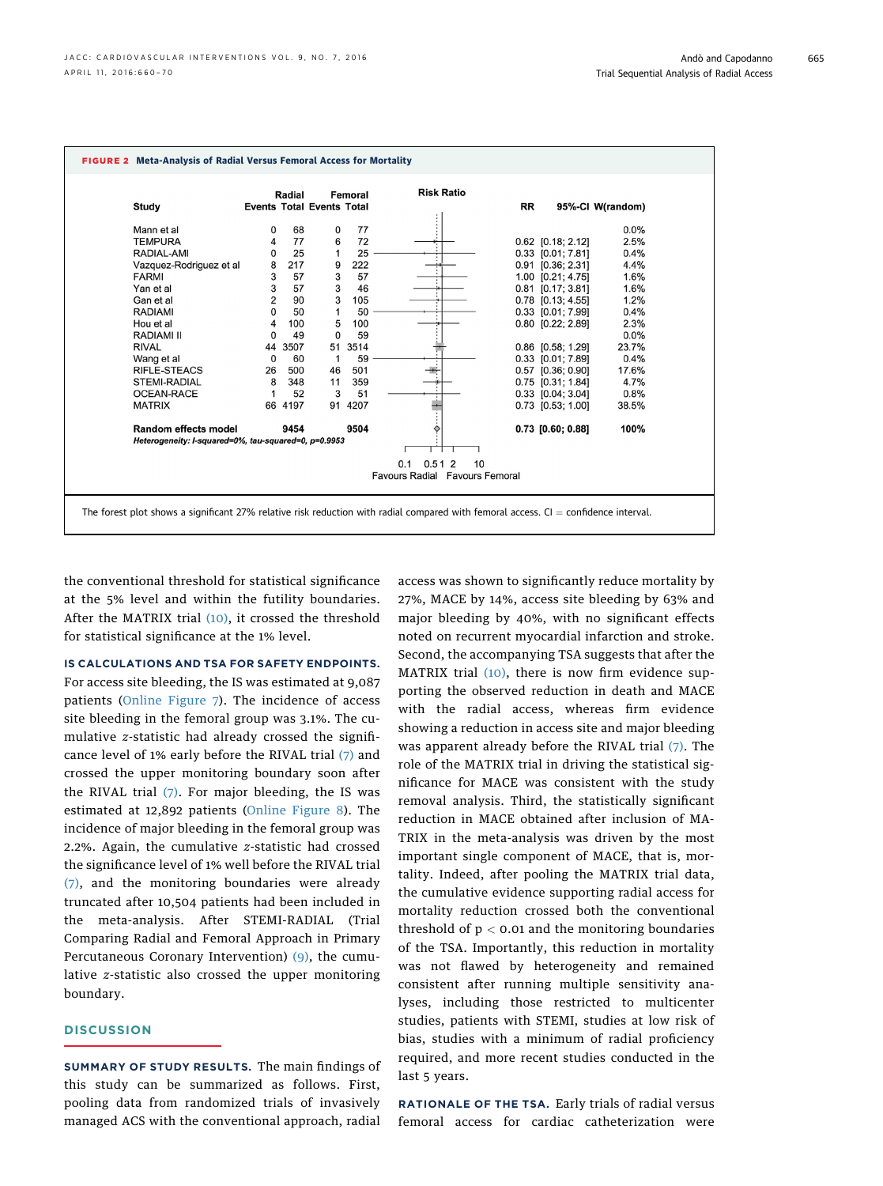<span id="page-5-0"></span>

|                                                      |          | Radial  |                                  | Femoral | <b>Risk Ratio</b>              |           |                       |                  |
|------------------------------------------------------|----------|---------|----------------------------------|---------|--------------------------------|-----------|-----------------------|------------------|
| Study                                                |          |         | <b>Events Total Events Total</b> |         |                                | <b>RR</b> |                       | 95%-CI W(random) |
| Mann et al                                           | 0        | 68      | 0                                | 77      |                                |           |                       | 0.0%             |
| <b>TEMPURA</b>                                       | 4        | 77      | 6                                | 72      |                                |           | 0.62 [0.18; 2.12]     | 2.5%             |
| RADIAL-AMI                                           | 0        | 25      | 1                                | 25      |                                |           | $0.33$ $[0.01; 7.81]$ | 0.4%             |
| Vazquez-Rodriguez et al                              | 8        | 217     | 9                                | 222     |                                |           | 0.91 [0.36; 2.31]     | 4.4%             |
| <b>FARMI</b>                                         | 3        | 57      | 3                                | 57      |                                |           | 1.00 [0.21; 4.75]     | 1.6%             |
| Yan et al                                            | 3        | 57      | 3                                | 46      |                                |           | $0.81$ [0.17; 3.81]   | 1.6%             |
| Gan et al                                            | 2        | 90      | 3                                | 105     |                                |           | 0.78 [0.13; 4.55]     | 1.2%             |
| <b>RADIAMI</b>                                       | 0        | 50      | 1                                | 50      |                                |           | 0.33 [0.01; 7.99]     | 0.4%             |
| Hou et al                                            | 4        | 100     | 5                                | 100     |                                |           | 0.80 [0.22; 2.89]     | 2.3%             |
| RADIAMI II                                           | 0        | 49      | $\Omega$                         | 59      |                                |           |                       | 0.0%             |
| <b>RIVAL</b>                                         | 44       | 3507    | 51                               | 3514    |                                |           | $0.86$ $[0.58; 1.29]$ | 23.7%            |
| Wang et al                                           | $\Omega$ | 60      |                                  | 59      |                                |           | 0.33 [0.01; 7.89]     | 0.4%             |
| <b>RIFLE-STEACS</b>                                  | 26       | 500     | 46                               | 501     |                                |           | 0.57 [0.36; 0.90]     | 17.6%            |
| <b>STEMI-RADIAL</b>                                  | 8        | 348     | 11                               | 359     |                                |           | $0.75$ $[0.31; 1.84]$ | 4.7%             |
| OCEAN-RACE                                           |          | 52      | 3                                | 51      |                                |           | $0.33$ $[0.04; 3.04]$ | 0.8%             |
| <b>MATRIX</b>                                        |          | 66 4197 | 91                               | 4207    |                                |           | $0.73$ $[0.53; 1.00]$ | 38.5%            |
| Random effects model                                 |          | 9454    |                                  | 9504    | ◇                              |           | 0.73 [0.60; 0.88]     | 100%             |
| Heterogeneity: I-squared=0%, tau-squared=0, p=0.9953 |          |         |                                  |         |                                |           |                       |                  |
|                                                      |          |         |                                  |         | 0.1<br>0.512<br>10             |           |                       |                  |
|                                                      |          |         |                                  |         | Favours Radial Favours Femoral |           |                       |                  |
|                                                      |          |         |                                  |         |                                |           |                       |                  |

the conventional threshold for statistical significance at the 5% level and within the futility boundaries. After the MATRIX trial [\(10\),](#page-9-0) it crossed the threshold for statistical significance at the 1% level.

IS CALCULATIONS AND TSA FOR SAFETY ENDPOINTS. For access site bleeding, the IS was estimated at 9,087 patients ([Online Figure 7\)](http://dx.doi.org/10.1016/j.jcin.2015.12.008). The incidence of access site bleeding in the femoral group was 3.1%. The cumulative z-statistic had already crossed the significance level of 1% early before the RIVAL trial [\(7\)](#page-9-0) and crossed the upper monitoring boundary soon after the RIVAL trial  $(7)$ . For major bleeding, the IS was estimated at 12,892 patients [\(Online Figure 8\).](http://dx.doi.org/10.1016/j.jcin.2015.12.008) The incidence of major bleeding in the femoral group was 2.2%. Again, the cumulative z-statistic had crossed the significance level of 1% well before the RIVAL trial [\(7\),](#page-9-0) and the monitoring boundaries were already truncated after 10,504 patients had been included in the meta-analysis. After STEMI-RADIAL (Trial Comparing Radial and Femoral Approach in Primary Percutaneous Coronary Intervention) [\(9\),](#page-9-0) the cumulative z-statistic also crossed the upper monitoring boundary.

#### **DISCUSSION**

SUMMARY OF STUDY RESULTS. The main findings of this study can be summarized as follows. First, pooling data from randomized trials of invasively managed ACS with the conventional approach, radial access was shown to significantly reduce mortality by 27%, MACE by 14%, access site bleeding by 63% and major bleeding by 40%, with no significant effects noted on recurrent myocardial infarction and stroke. Second, the accompanying TSA suggests that after the MATRIX trial [\(10\)](#page-9-0), there is now firm evidence supporting the observed reduction in death and MACE with the radial access, whereas firm evidence showing a reduction in access site and major bleeding was apparent already before the RIVAL trial [\(7\)](#page-9-0). The role of the MATRIX trial in driving the statistical significance for MACE was consistent with the study removal analysis. Third, the statistically significant reduction in MACE obtained after inclusion of MA-TRIX in the meta-analysis was driven by the most important single component of MACE, that is, mortality. Indeed, after pooling the MATRIX trial data, the cumulative evidence supporting radial access for mortality reduction crossed both the conventional threshold of  $p < 0.01$  and the monitoring boundaries of the TSA. Importantly, this reduction in mortality was not flawed by heterogeneity and remained consistent after running multiple sensitivity analyses, including those restricted to multicenter studies, patients with STEMI, studies at low risk of bias, studies with a minimum of radial proficiency required, and more recent studies conducted in the last 5 years.

RATIONALE OF THE TSA. Early trials of radial versus femoral access for cardiac catheterization were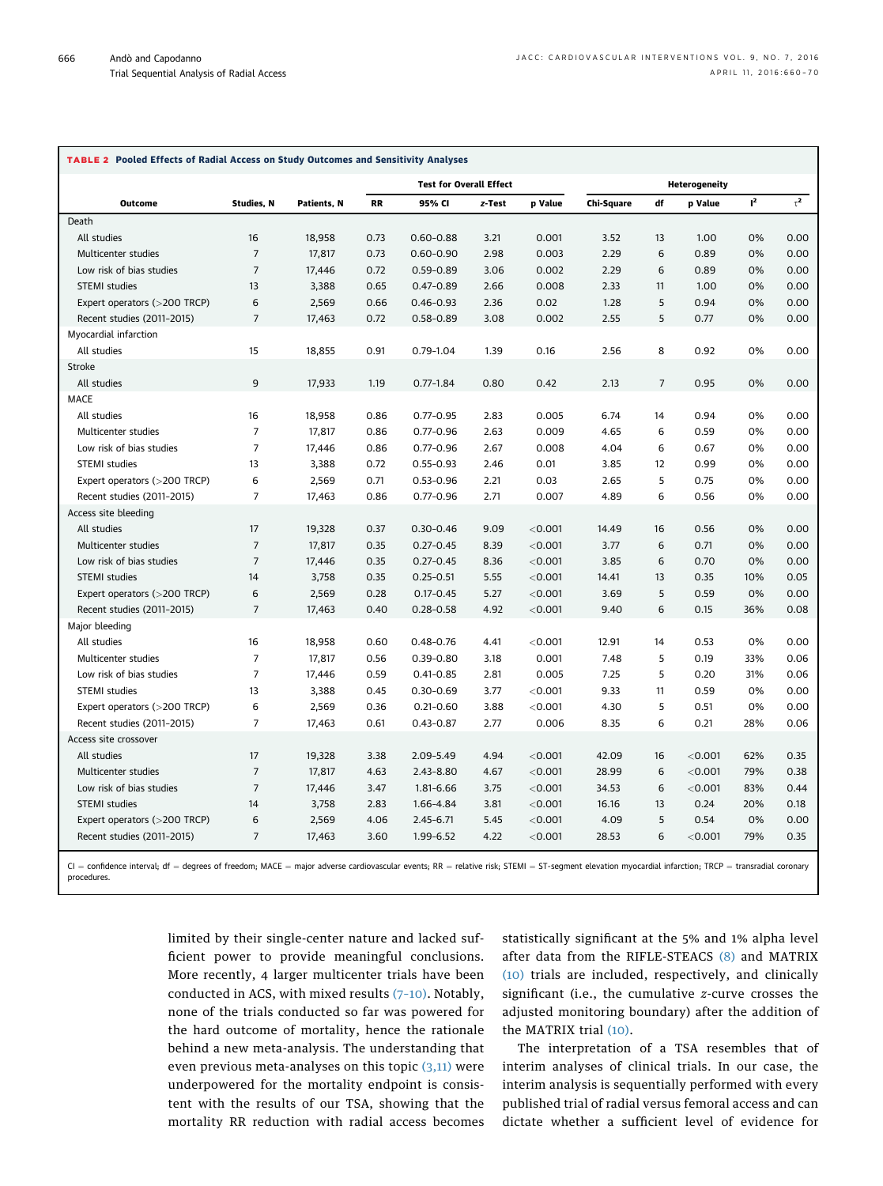<span id="page-6-0"></span>

| <b>TABLE 2 Pooled Effects of Radial Access on Study Outcomes and Sensitivity Analyses</b> |
|-------------------------------------------------------------------------------------------|

|                                              |                   |             |                                                                            |               | <b>Heterogeneity</b> |           |                                                                                                                                                                                                    |                                                  |         |     |              |  |  |  |  |  |  |  |
|----------------------------------------------|-------------------|-------------|----------------------------------------------------------------------------|---------------|----------------------|-----------|----------------------------------------------------------------------------------------------------------------------------------------------------------------------------------------------------|--------------------------------------------------|---------|-----|--------------|--|--|--|--|--|--|--|
| <b>Outcome</b>                               | <b>Studies, N</b> | Patients, N | <b>Test for Overall Effect</b><br><b>RR</b><br>95% CI<br>z-Test<br>p Value |               |                      |           |                                                                                                                                                                                                    | $\tau^2$<br>$I^2$<br>df<br>Chi-Square<br>p Value |         |     |              |  |  |  |  |  |  |  |
| Death                                        |                   |             |                                                                            |               |                      |           |                                                                                                                                                                                                    |                                                  |         |     |              |  |  |  |  |  |  |  |
| All studies                                  | 16                | 18,958      | 0.73                                                                       | $0.60 - 0.88$ | 3.21                 | 0.001     | 3.52                                                                                                                                                                                               | 13                                               | 1.00    | 0%  | 0.00         |  |  |  |  |  |  |  |
| Multicenter studies                          | $\overline{7}$    | 17,817      | 0.73                                                                       | $0.60 - 0.90$ | 2.98                 | 0.003     | 2.29                                                                                                                                                                                               | 6                                                | 0.89    | 0%  | 0.00         |  |  |  |  |  |  |  |
| Low risk of bias studies                     | $\overline{7}$    | 17,446      | 0.72                                                                       | $0.59 - 0.89$ | 3.06                 | 0.002     | 2.29                                                                                                                                                                                               | 6                                                | 0.89    | 0%  | 0.00         |  |  |  |  |  |  |  |
| <b>STEMI</b> studies                         | 13                | 3,388       | 0.65                                                                       | $0.47 - 0.89$ | 2.66                 | 0.008     | 2.33                                                                                                                                                                                               | 11                                               | 1.00    | 0%  | 0.00         |  |  |  |  |  |  |  |
| Expert operators (>200 TRCP)                 | 6                 | 2,569       | 0.66                                                                       | $0.46 - 0.93$ | 2.36                 | 0.02      | 1.28                                                                                                                                                                                               | 5                                                | 0.94    | 0%  | 0.00         |  |  |  |  |  |  |  |
| Recent studies (2011-2015)                   | $\overline{7}$    | 17,463      | 0.72                                                                       | $0.58 - 0.89$ | 3.08                 | 0.002     | 2.55                                                                                                                                                                                               | 5                                                | 0.77    | 0%  | 0.00         |  |  |  |  |  |  |  |
| Myocardial infarction                        |                   |             |                                                                            |               |                      |           |                                                                                                                                                                                                    |                                                  |         |     |              |  |  |  |  |  |  |  |
| All studies                                  | 15                | 18,855      | 0.91                                                                       | $0.79 - 1.04$ | 1.39                 | 0.16      | 2.56                                                                                                                                                                                               | 8                                                | 0.92    | 0%  | 0.00         |  |  |  |  |  |  |  |
| Stroke                                       |                   |             |                                                                            |               |                      |           |                                                                                                                                                                                                    |                                                  |         |     |              |  |  |  |  |  |  |  |
| All studies                                  | 9                 | 17,933      | 1.19                                                                       | $0.77 - 1.84$ | 0.80                 | 0.42      | 2.13                                                                                                                                                                                               | $\overline{7}$                                   | 0.95    | 0%  | 0.00         |  |  |  |  |  |  |  |
| <b>MACE</b>                                  |                   |             |                                                                            |               |                      |           |                                                                                                                                                                                                    |                                                  |         |     |              |  |  |  |  |  |  |  |
| All studies                                  | 16                | 18,958      | 0.86                                                                       | $0.77 - 0.95$ | 2.83                 | 0.005     | 6.74                                                                                                                                                                                               | 14                                               | 0.94    | 0%  | 0.00         |  |  |  |  |  |  |  |
| Multicenter studies                          | $\overline{7}$    | 17,817      | 0.86                                                                       | $0.77 - 0.96$ | 2.63                 | 0.009     | 4.65                                                                                                                                                                                               | 6                                                | 0.59    | 0%  | 0.00         |  |  |  |  |  |  |  |
| Low risk of bias studies                     | $\overline{7}$    | 17,446      | 0.86                                                                       | $0.77 - 0.96$ | 2.67                 | 0.008     | 4.04                                                                                                                                                                                               | 6                                                | 0.67    | 0%  | 0.00         |  |  |  |  |  |  |  |
| STEMI studies                                | 13                | 3,388       | 0.72                                                                       | $0.55 - 0.93$ | 2.46                 | 0.01      | 3.85                                                                                                                                                                                               | 12                                               | 0.99    | 0%  | 0.00         |  |  |  |  |  |  |  |
| Expert operators (>200 TRCP)                 | 6                 | 2,569       | 0.71                                                                       | $0.53 - 0.96$ | 2.21                 | 0.03      | 2.65                                                                                                                                                                                               | 5                                                | 0.75    | 0%  | 0.00         |  |  |  |  |  |  |  |
| Recent studies (2011-2015)                   | $\overline{7}$    | 17,463      | 0.86                                                                       | $0.77 - 0.96$ | 2.71                 | 0.007     | 4.89                                                                                                                                                                                               | 6                                                | 0.56    | 0%  | 0.00         |  |  |  |  |  |  |  |
| Access site bleeding                         |                   |             |                                                                            |               |                      |           |                                                                                                                                                                                                    |                                                  |         |     |              |  |  |  |  |  |  |  |
| All studies                                  | 17                | 19,328      | 0.37                                                                       | $0.30 - 0.46$ | 9.09                 | < 0.001   | 14.49                                                                                                                                                                                              | 16                                               | 0.56    | 0%  | 0.00         |  |  |  |  |  |  |  |
| Multicenter studies                          | $\overline{7}$    | 17,817      | 0.35                                                                       | $0.27 - 0.45$ | 8.39                 | < 0.001   | 3.77                                                                                                                                                                                               | 6                                                | 0.71    | 0%  | 0.00         |  |  |  |  |  |  |  |
| Low risk of bias studies                     | $\overline{7}$    | 17,446      | 0.35                                                                       | $0.27 - 0.45$ | 8.36                 | < 0.001   | 3.85                                                                                                                                                                                               | 6                                                | 0.70    | 0%  | 0.00         |  |  |  |  |  |  |  |
| <b>STEMI</b> studies                         | 14                | 3,758       | 0.35                                                                       | $0.25 - 0.51$ | 5.55                 | < 0.001   | 14.41                                                                                                                                                                                              | 13                                               | 0.35    | 10% | 0.05         |  |  |  |  |  |  |  |
| Expert operators (>200 TRCP)                 | 6                 | 2,569       | 0.28                                                                       | $0.17 - 0.45$ | 5.27                 | < 0.001   | 3.69                                                                                                                                                                                               | 5                                                | 0.59    | 0%  | 0.00         |  |  |  |  |  |  |  |
|                                              | $\overline{7}$    | 17,463      | 0.40                                                                       | $0.28 - 0.58$ | 4.92                 | < 0.001   | 9.40                                                                                                                                                                                               | 6                                                | 0.15    | 36% | 0.08         |  |  |  |  |  |  |  |
| Recent studies (2011-2015)<br>Major bleeding |                   |             |                                                                            |               |                      |           |                                                                                                                                                                                                    |                                                  |         |     |              |  |  |  |  |  |  |  |
| All studies                                  | 16                | 18,958      | 0.60                                                                       | $0.48 - 0.76$ | 4.41                 | < 0.001   | 12.91                                                                                                                                                                                              | 14                                               | 0.53    | 0%  | 0.00         |  |  |  |  |  |  |  |
| Multicenter studies                          | $\overline{7}$    | 17,817      | 0.56                                                                       | $0.39 - 0.80$ | 3.18                 | 0.001     | 7.48                                                                                                                                                                                               | 5                                                | 0.19    | 33% | 0.06         |  |  |  |  |  |  |  |
| Low risk of bias studies                     | $\overline{7}$    | 17,446      | 0.59                                                                       | $0.41 - 0.85$ | 2.81                 | 0.005     | 7.25                                                                                                                                                                                               | 5                                                | 0.20    | 31% | 0.06         |  |  |  |  |  |  |  |
| STEMI studies                                | 13                | 3,388       | 0.45                                                                       | $0.30 - 0.69$ | 3.77                 | < 0.001   | 9.33                                                                                                                                                                                               | 11                                               | 0.59    | 0%  | 0.00         |  |  |  |  |  |  |  |
|                                              | 6                 |             |                                                                            |               |                      |           |                                                                                                                                                                                                    | 5                                                |         |     |              |  |  |  |  |  |  |  |
| Expert operators (>200 TRCP)                 | $\overline{7}$    | 2,569       | 0.36<br>0.61                                                               | $0.21 - 0.60$ | 3.88                 | $<$ 0.001 | 4.30                                                                                                                                                                                               | 6                                                | 0.51    | 0%  | 0.00<br>0.06 |  |  |  |  |  |  |  |
| Recent studies (2011-2015)                   |                   | 17,463      |                                                                            | $0.43 - 0.87$ | 2.77                 | 0.006     | 8.35                                                                                                                                                                                               |                                                  | 0.21    | 28% |              |  |  |  |  |  |  |  |
| Access site crossover                        | 17                |             |                                                                            |               |                      |           |                                                                                                                                                                                                    |                                                  |         |     |              |  |  |  |  |  |  |  |
| All studies                                  | $\overline{7}$    | 19,328      | 3.38                                                                       | 2.09-5.49     | 4.94                 | < 0.001   | 42.09                                                                                                                                                                                              | 16                                               | < 0.001 | 62% | 0.35         |  |  |  |  |  |  |  |
| Multicenter studies                          |                   | 17,817      | 4.63                                                                       | 2.43-8.80     | 4.67                 | < 0.001   | 28.99                                                                                                                                                                                              | 6                                                | < 0.001 | 79% | 0.38         |  |  |  |  |  |  |  |
| Low risk of bias studies                     | $\overline{7}$    | 17,446      | 3.47                                                                       | 1.81-6.66     | 3.75                 | < 0.001   | 34.53                                                                                                                                                                                              | 6                                                | < 0.001 | 83% | 0.44         |  |  |  |  |  |  |  |
| <b>STEMI</b> studies                         | 14                | 3,758       | 2.83                                                                       | 1.66-4.84     | 3.81                 | < 0.001   | 16.16                                                                                                                                                                                              | 13                                               | 0.24    | 20% | 0.18         |  |  |  |  |  |  |  |
| Expert operators (>200 TRCP)                 | 6                 | 2,569       | 4.06                                                                       | $2.45 - 6.71$ | 5.45                 | < 0.001   | 4.09                                                                                                                                                                                               | 5                                                | 0.54    | 0%  | 0.00         |  |  |  |  |  |  |  |
| Recent studies (2011-2015)                   | $\overline{7}$    | 17,463      | 3.60                                                                       | 1.99-6.52     | 4.22                 | < 0.001   | 28.53                                                                                                                                                                                              | 6                                                | < 0.001 | 79% | 0.35         |  |  |  |  |  |  |  |
|                                              |                   |             |                                                                            |               |                      |           | CI = confidence interval; df = degrees of freedom; MACE = major adverse cardiovascular events; RR = relative risk; STEMI = ST-segment elevation myocardial infarction; TRCP = transradial coronary |                                                  |         |     |              |  |  |  |  |  |  |  |

procedures.

limited by their single-center nature and lacked sufficient power to provide meaningful conclusions. More recently, 4 larger multicenter trials have been conducted in ACS, with mixed results (7–[10\).](#page-9-0) Notably, none of the trials conducted so far was powered for the hard outcome of mortality, hence the rationale behind a new meta-analysis. The understanding that even previous meta-analyses on this topic  $(3,11)$  were underpowered for the mortality endpoint is consistent with the results of our TSA, showing that the mortality RR reduction with radial access becomes

statistically significant at the 5% and 1% alpha level after data from the RIFLE-STEACS [\(8\)](#page-9-0) and MATRIX [\(10\)](#page-9-0) trials are included, respectively, and clinically significant (i.e., the cumulative z-curve crosses the adjusted monitoring boundary) after the addition of the MATRIX trial [\(10\).](#page-9-0)

The interpretation of a TSA resembles that of interim analyses of clinical trials. In our case, the interim analysis is sequentially performed with every published trial of radial versus femoral access and can dictate whether a sufficient level of evidence for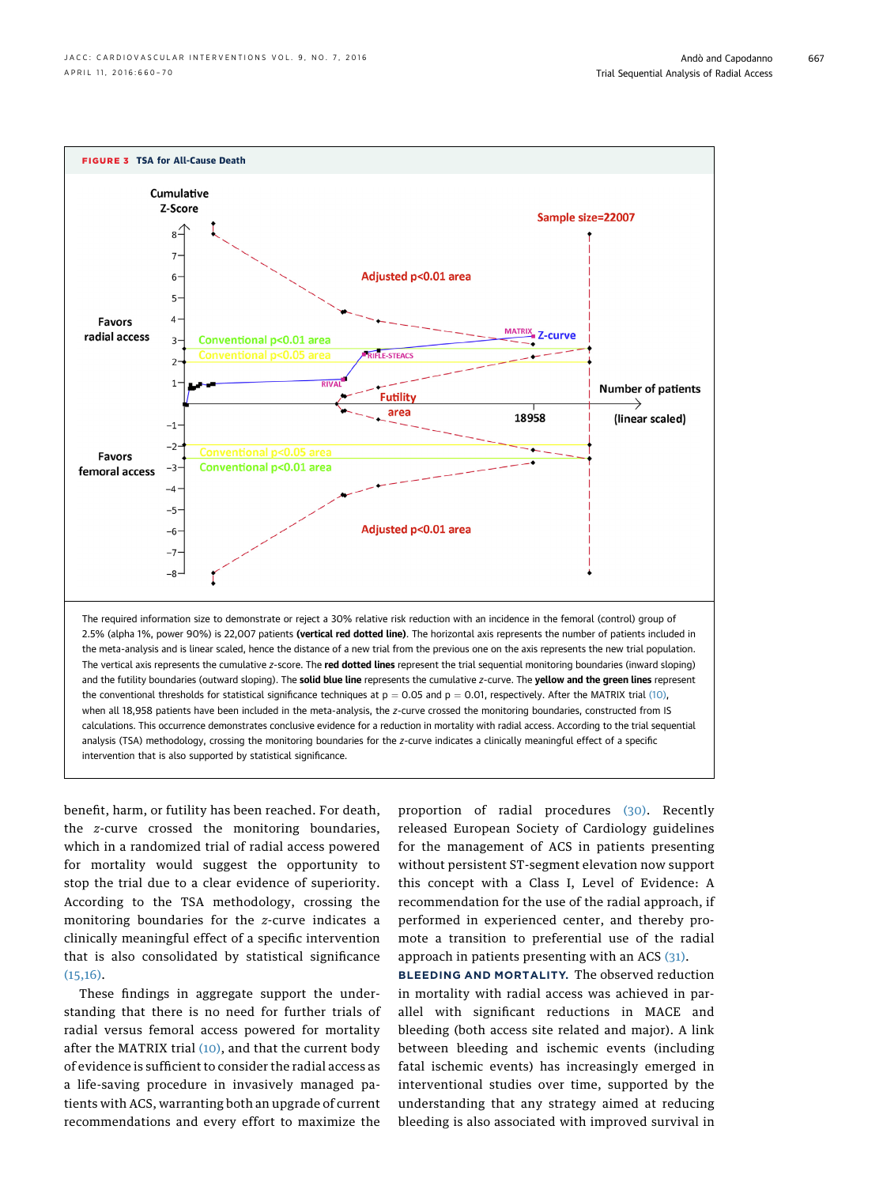<span id="page-7-0"></span>

benefit, harm, or futility has been reached. For death, the z-curve crossed the monitoring boundaries, which in a randomized trial of radial access powered for mortality would suggest the opportunity to stop the trial due to a clear evidence of superiority. According to the TSA methodology, crossing the monitoring boundaries for the z-curve indicates a clinically meaningful effect of a specific intervention that is also consolidated by statistical significance  $(15,16)$ .

These findings in aggregate support the understanding that there is no need for further trials of radial versus femoral access powered for mortality after the MATRIX trial [\(10\)](#page-9-0), and that the current body of evidence is sufficient to consider the radial access as a life-saving procedure in invasively managed patients with ACS, warranting both an upgrade of current recommendations and every effort to maximize the

proportion of radial procedures [\(30\).](#page-9-0) Recently released European Society of Cardiology guidelines for the management of ACS in patients presenting without persistent ST-segment elevation now support this concept with a Class I, Level of Evidence: A recommendation for the use of the radial approach, if performed in experienced center, and thereby promote a transition to preferential use of the radial approach in patients presenting with an ACS  $(31)$ .

BLEEDING AND MORTALITY. The observed reduction in mortality with radial access was achieved in parallel with significant reductions in MACE and bleeding (both access site related and major). A link between bleeding and ischemic events (including fatal ischemic events) has increasingly emerged in interventional studies over time, supported by the understanding that any strategy aimed at reducing bleeding is also associated with improved survival in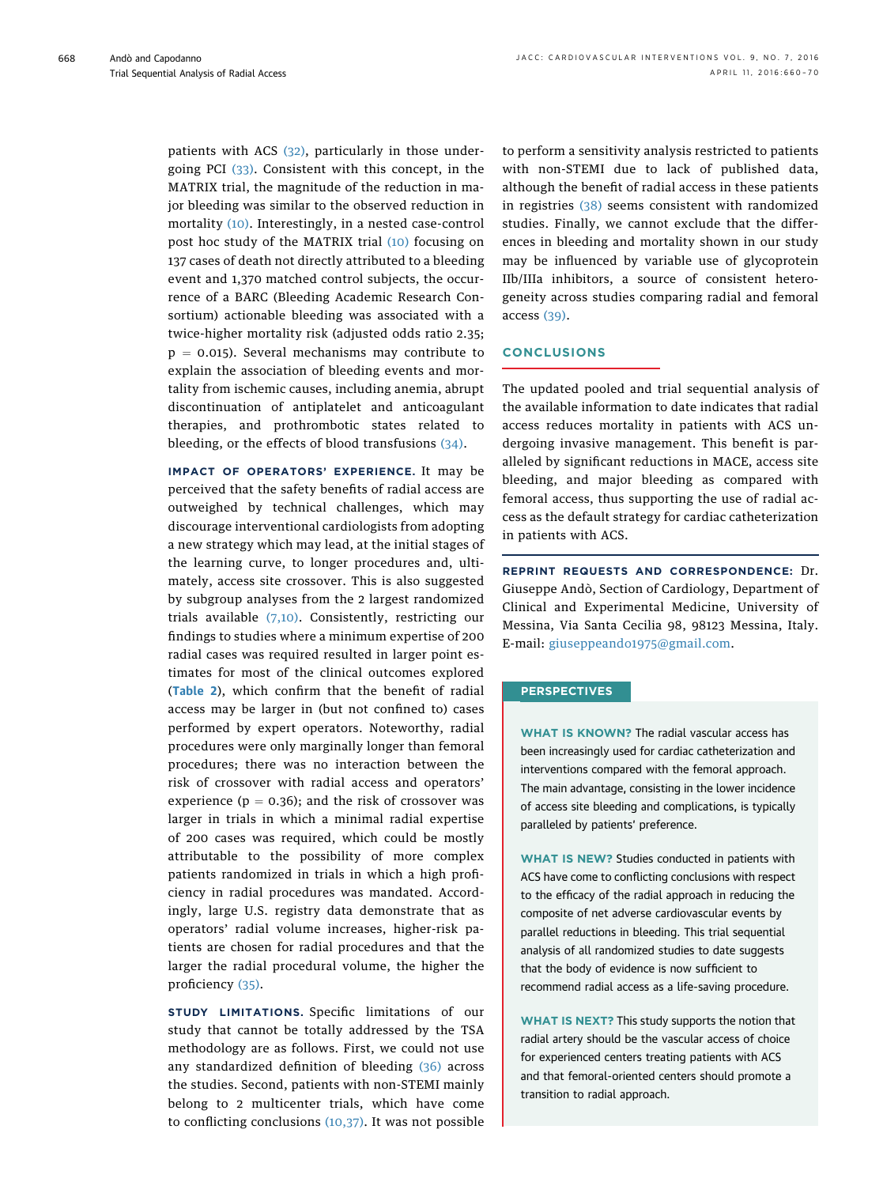patients with ACS [\(32\)](#page-9-0), particularly in those undergoing PCI [\(33\).](#page-9-0) Consistent with this concept, in the MATRIX trial, the magnitude of the reduction in major bleeding was similar to the observed reduction in mortality [\(10\).](#page-9-0) Interestingly, in a nested case-control post hoc study of the MATRIX trial [\(10\)](#page-9-0) focusing on 137 cases of death not directly attributed to a bleeding event and 1,370 matched control subjects, the occurrence of a BARC (Bleeding Academic Research Consortium) actionable bleeding was associated with a twice-higher mortality risk (adjusted odds ratio 2.35;  $p = 0.015$ ). Several mechanisms may contribute to explain the association of bleeding events and mortality from ischemic causes, including anemia, abrupt discontinuation of antiplatelet and anticoagulant therapies, and prothrombotic states related to bleeding, or the effects of blood transfusions [\(34\).](#page-9-0)

IMPACT OF OPERATORS' EXPERIENCE. It may be perceived that the safety benefits of radial access are outweighed by technical challenges, which may discourage interventional cardiologists from adopting a new strategy which may lead, at the initial stages of the learning curve, to longer procedures and, ultimately, access site crossover. This is also suggested by subgroup analyses from the 2 largest randomized trials available [\(7,10\).](#page-9-0) Consistently, restricting our findings to studies where a minimum expertise of 200 radial cases was required resulted in larger point estimates for most of the clinical outcomes explored ([Table 2](#page-6-0)), which confirm that the benefit of radial access may be larger in (but not confined to) cases performed by expert operators. Noteworthy, radial procedures were only marginally longer than femoral procedures; there was no interaction between the risk of crossover with radial access and operators' experience ( $p = 0.36$ ); and the risk of crossover was larger in trials in which a minimal radial expertise of 200 cases was required, which could be mostly attributable to the possibility of more complex patients randomized in trials in which a high proficiency in radial procedures was mandated. Accordingly, large U.S. registry data demonstrate that as operators' radial volume increases, higher-risk patients are chosen for radial procedures and that the larger the radial procedural volume, the higher the proficiency [\(35\).](#page-9-0)

STUDY LIMITATIONS. Specific limitations of our study that cannot be totally addressed by the TSA methodology are as follows. First, we could not use any standardized definition of bleeding [\(36\)](#page-10-0) across the studies. Second, patients with non-STEMI mainly belong to 2 multicenter trials, which have come to conflicting conclusions  $(10,37)$ . It was not possible

to perform a sensitivity analysis restricted to patients with non-STEMI due to lack of published data, although the benefit of radial access in these patients in registries [\(38\)](#page-10-0) seems consistent with randomized studies. Finally, we cannot exclude that the differences in bleeding and mortality shown in our study may be influenced by variable use of glycoprotein IIb/IIIa inhibitors, a source of consistent heterogeneity across studies comparing radial and femoral access [\(39\).](#page-10-0)

## **CONCLUSIONS**

The updated pooled and trial sequential analysis of the available information to date indicates that radial access reduces mortality in patients with ACS undergoing invasive management. This benefit is paralleled by significant reductions in MACE, access site bleeding, and major bleeding as compared with femoral access, thus supporting the use of radial access as the default strategy for cardiac catheterization in patients with ACS.

REPRINT REQUESTS AND CORRESPONDENCE: Dr. Giuseppe Andò, Section of Cardiology, Department of Clinical and Experimental Medicine, University of Messina, Via Santa Cecilia 98, 98123 Messina, Italy. E-mail: [giuseppeando1975@gmail.com.](mailto:giuseppeando1975@gmail.com)

### **PERSPECTIVES**

WHAT IS KNOWN? The radial vascular access has been increasingly used for cardiac catheterization and interventions compared with the femoral approach. The main advantage, consisting in the lower incidence of access site bleeding and complications, is typically paralleled by patients' preference.

WHAT IS NEW? Studies conducted in patients with ACS have come to conflicting conclusions with respect to the efficacy of the radial approach in reducing the composite of net adverse cardiovascular events by parallel reductions in bleeding. This trial sequential analysis of all randomized studies to date suggests that the body of evidence is now sufficient to recommend radial access as a life-saving procedure.

WHAT IS NEXT? This study supports the notion that radial artery should be the vascular access of choice for experienced centers treating patients with ACS and that femoral-oriented centers should promote a transition to radial approach.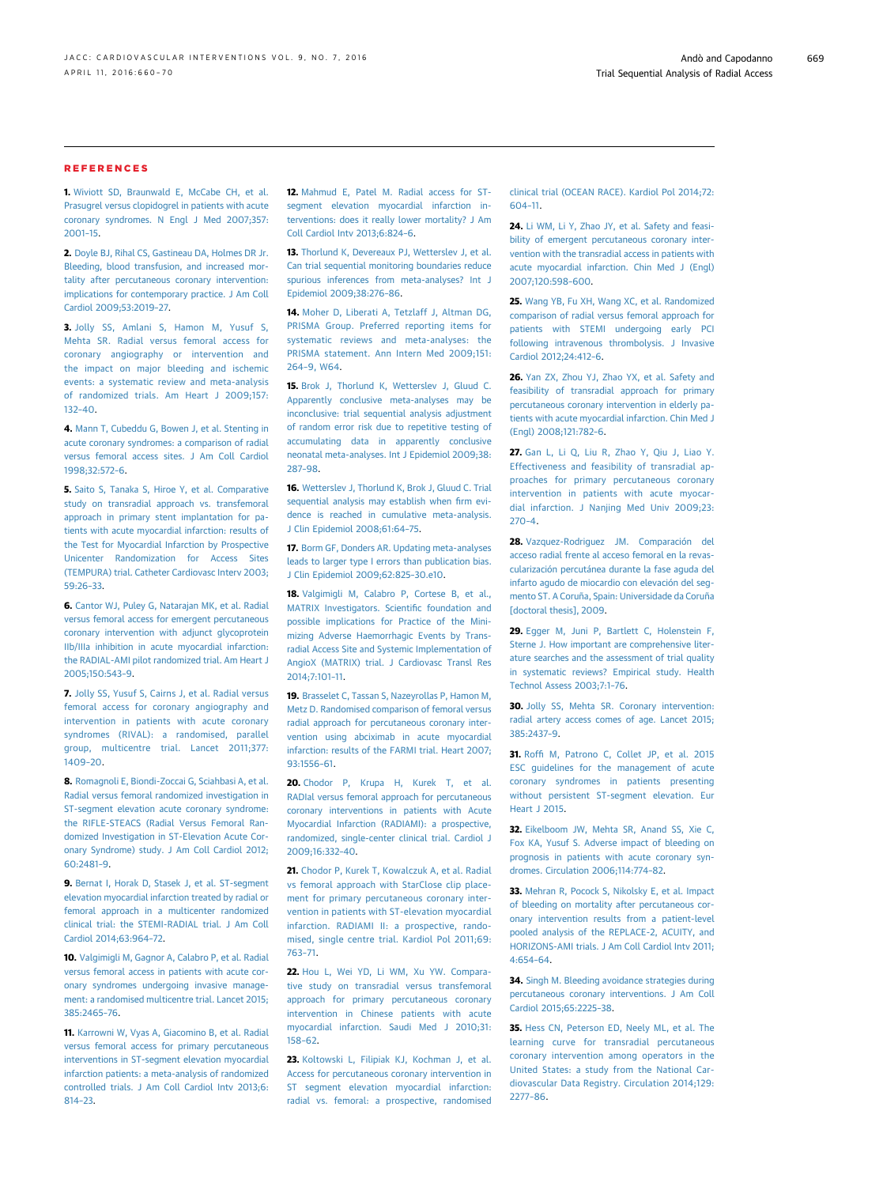#### <span id="page-9-0"></span>REFERENCES

1. [Wiviott SD, Braunwald E, McCabe CH, et al.](http://refhub.elsevier.com/S1936-8798(15)01901-9/sref1) [Prasugrel versus clopidogrel in patients with acute](http://refhub.elsevier.com/S1936-8798(15)01901-9/sref1) [coronary syndromes. N Engl J Med 2007;357:](http://refhub.elsevier.com/S1936-8798(15)01901-9/sref1) [2001](http://refhub.elsevier.com/S1936-8798(15)01901-9/sref1)–15.

2. [Doyle BJ, Rihal CS, Gastineau DA, Holmes DR Jr.](http://refhub.elsevier.com/S1936-8798(15)01901-9/sref2) [Bleeding, blood transfusion, and increased mor](http://refhub.elsevier.com/S1936-8798(15)01901-9/sref2)[tality after percutaneous coronary intervention:](http://refhub.elsevier.com/S1936-8798(15)01901-9/sref2) [implications for contemporary practice. J Am Coll](http://refhub.elsevier.com/S1936-8798(15)01901-9/sref2) [Cardiol 2009;53:2019](http://refhub.elsevier.com/S1936-8798(15)01901-9/sref2)–27.

3. [Jolly SS, Amlani S, Hamon M, Yusuf S,](http://refhub.elsevier.com/S1936-8798(15)01901-9/sref3) [Mehta SR. Radial versus femoral access for](http://refhub.elsevier.com/S1936-8798(15)01901-9/sref3) [coronary angiography or intervention and](http://refhub.elsevier.com/S1936-8798(15)01901-9/sref3) [the impact on major bleeding and ischemic](http://refhub.elsevier.com/S1936-8798(15)01901-9/sref3) [events: a systematic review and meta-analysis](http://refhub.elsevier.com/S1936-8798(15)01901-9/sref3) [of randomized trials. Am Heart J 2009;157:](http://refhub.elsevier.com/S1936-8798(15)01901-9/sref3) [132](http://refhub.elsevier.com/S1936-8798(15)01901-9/sref3)–40.

4. [Mann T, Cubeddu G, Bowen J, et al. Stenting in](http://refhub.elsevier.com/S1936-8798(15)01901-9/sref4) [acute coronary syndromes: a comparison of radial](http://refhub.elsevier.com/S1936-8798(15)01901-9/sref4) [versus femoral access sites. J Am Coll Cardiol](http://refhub.elsevier.com/S1936-8798(15)01901-9/sref4) [1998;32:572](http://refhub.elsevier.com/S1936-8798(15)01901-9/sref4)–6.

5. [Saito S, Tanaka S, Hiroe Y, et al. Comparative](http://refhub.elsevier.com/S1936-8798(15)01901-9/sref5) [study on transradial approach vs. transfemoral](http://refhub.elsevier.com/S1936-8798(15)01901-9/sref5) [approach in primary stent implantation for pa](http://refhub.elsevier.com/S1936-8798(15)01901-9/sref5)[tients with acute myocardial infarction: results of](http://refhub.elsevier.com/S1936-8798(15)01901-9/sref5) [the Test for Myocardial Infarction by Prospective](http://refhub.elsevier.com/S1936-8798(15)01901-9/sref5) [Unicenter Randomization for Access Sites](http://refhub.elsevier.com/S1936-8798(15)01901-9/sref5) [\(TEMPURA\) trial. Catheter Cardiovasc Interv 2003;](http://refhub.elsevier.com/S1936-8798(15)01901-9/sref5) [59:26](http://refhub.elsevier.com/S1936-8798(15)01901-9/sref5)–33.

6. [Cantor WJ, Puley G, Natarajan MK, et al. Radial](http://refhub.elsevier.com/S1936-8798(15)01901-9/sref6) [versus femoral access for emergent percutaneous](http://refhub.elsevier.com/S1936-8798(15)01901-9/sref6) [coronary intervention with adjunct glycoprotein](http://refhub.elsevier.com/S1936-8798(15)01901-9/sref6) [IIb/IIIa inhibition in acute myocardial infarction:](http://refhub.elsevier.com/S1936-8798(15)01901-9/sref6) [the RADIAL-AMI pilot randomized trial. Am Heart J](http://refhub.elsevier.com/S1936-8798(15)01901-9/sref6) [2005;150:543](http://refhub.elsevier.com/S1936-8798(15)01901-9/sref6)–9.

7. [Jolly SS, Yusuf S, Cairns J, et al. Radial versus](http://refhub.elsevier.com/S1936-8798(15)01901-9/sref7) [femoral access for coronary angiography and](http://refhub.elsevier.com/S1936-8798(15)01901-9/sref7) [intervention in patients with acute coronary](http://refhub.elsevier.com/S1936-8798(15)01901-9/sref7) [syndromes \(RIVAL\): a randomised, parallel](http://refhub.elsevier.com/S1936-8798(15)01901-9/sref7) [group, multicentre trial. Lancet 2011;377:](http://refhub.elsevier.com/S1936-8798(15)01901-9/sref7) [1409](http://refhub.elsevier.com/S1936-8798(15)01901-9/sref7)–20.

8. [Romagnoli E, Biondi-Zoccai G, Sciahbasi A, et al.](http://refhub.elsevier.com/S1936-8798(15)01901-9/sref8) [Radial versus femoral randomized investigation in](http://refhub.elsevier.com/S1936-8798(15)01901-9/sref8) [ST-segment elevation acute coronary syndrome:](http://refhub.elsevier.com/S1936-8798(15)01901-9/sref8) [the RIFLE-STEACS \(Radial Versus Femoral Ran](http://refhub.elsevier.com/S1936-8798(15)01901-9/sref8)[domized Investigation in ST-Elevation Acute Cor](http://refhub.elsevier.com/S1936-8798(15)01901-9/sref8)[onary Syndrome\) study. J Am Coll Cardiol 2012;](http://refhub.elsevier.com/S1936-8798(15)01901-9/sref8) [60:2481](http://refhub.elsevier.com/S1936-8798(15)01901-9/sref8)–9.

9. [Bernat I, Horak D, Stasek J, et al. ST-segment](http://refhub.elsevier.com/S1936-8798(15)01901-9/sref9) [elevation myocardial infarction treated by radial or](http://refhub.elsevier.com/S1936-8798(15)01901-9/sref9) [femoral approach in a multicenter randomized](http://refhub.elsevier.com/S1936-8798(15)01901-9/sref9) [clinical trial: the STEMI-RADIAL trial. J Am Coll](http://refhub.elsevier.com/S1936-8798(15)01901-9/sref9) [Cardiol 2014;63:964](http://refhub.elsevier.com/S1936-8798(15)01901-9/sref9)–72.

10. [Valgimigli M, Gagnor A, Calabro P, et al. Radial](http://refhub.elsevier.com/S1936-8798(15)01901-9/sref10) [versus femoral access in patients with acute cor](http://refhub.elsevier.com/S1936-8798(15)01901-9/sref10)[onary syndromes undergoing invasive manage](http://refhub.elsevier.com/S1936-8798(15)01901-9/sref10)[ment: a randomised multicentre trial. Lancet 2015;](http://refhub.elsevier.com/S1936-8798(15)01901-9/sref10) [385:2465](http://refhub.elsevier.com/S1936-8798(15)01901-9/sref10)–76.

11. [Karrowni W, Vyas A, Giacomino B, et al. Radial](http://refhub.elsevier.com/S1936-8798(15)01901-9/sref11) [versus femoral access for primary percutaneous](http://refhub.elsevier.com/S1936-8798(15)01901-9/sref11) [interventions in ST-segment elevation myocardial](http://refhub.elsevier.com/S1936-8798(15)01901-9/sref11) [infarction patients: a meta-analysis of randomized](http://refhub.elsevier.com/S1936-8798(15)01901-9/sref11) [controlled trials. J Am Coll Cardiol Intv 2013;6:](http://refhub.elsevier.com/S1936-8798(15)01901-9/sref11) [814](http://refhub.elsevier.com/S1936-8798(15)01901-9/sref11)–23.

12. Mahmud E. Patel M. Radial access for ST[segment elevation myocardial infarction in](http://refhub.elsevier.com/S1936-8798(15)01901-9/sref12)[terventions: does it really lower mortality? J Am](http://refhub.elsevier.com/S1936-8798(15)01901-9/sref12) [Coll Cardiol Intv 2013;6:824](http://refhub.elsevier.com/S1936-8798(15)01901-9/sref12)–6.

13. Thorlund K, Devereaux PJ, Wettersley J, et al. [Can trial sequential monitoring boundaries reduce](http://refhub.elsevier.com/S1936-8798(15)01901-9/sref13) [spurious inferences from meta-analyses? Int J](http://refhub.elsevier.com/S1936-8798(15)01901-9/sref13) [Epidemiol 2009;38:276](http://refhub.elsevier.com/S1936-8798(15)01901-9/sref13)–86.

14. [Moher D, Liberati A, Tetzlaff J, Altman DG,](http://refhub.elsevier.com/S1936-8798(15)01901-9/sref14) [PRISMA Group. Preferred reporting items for](http://refhub.elsevier.com/S1936-8798(15)01901-9/sref14) [systematic reviews and meta-analyses: the](http://refhub.elsevier.com/S1936-8798(15)01901-9/sref14) [PRISMA statement. Ann Intern Med 2009;151:](http://refhub.elsevier.com/S1936-8798(15)01901-9/sref14) 264–[9, W64.](http://refhub.elsevier.com/S1936-8798(15)01901-9/sref14)

15. [Brok J, Thorlund K, Wetterslev J, Gluud C.](http://refhub.elsevier.com/S1936-8798(15)01901-9/sref15) [Apparently conclusive meta-analyses may be](http://refhub.elsevier.com/S1936-8798(15)01901-9/sref15) [inconclusive: trial sequential analysis adjustment](http://refhub.elsevier.com/S1936-8798(15)01901-9/sref15) [of random error risk due to repetitive testing of](http://refhub.elsevier.com/S1936-8798(15)01901-9/sref15) [accumulating data in apparently conclusive](http://refhub.elsevier.com/S1936-8798(15)01901-9/sref15) [neonatal meta-analyses. Int J Epidemiol 2009;38:](http://refhub.elsevier.com/S1936-8798(15)01901-9/sref15) [287](http://refhub.elsevier.com/S1936-8798(15)01901-9/sref15)–98.

16. [Wetterslev J, Thorlund K, Brok J, Gluud C. Trial](http://refhub.elsevier.com/S1936-8798(15)01901-9/sref16) [sequential analysis may establish when](http://refhub.elsevier.com/S1936-8798(15)01901-9/sref16) firm evi[dence is reached in cumulative meta-analysis.](http://refhub.elsevier.com/S1936-8798(15)01901-9/sref16) [J Clin Epidemiol 2008;61:64](http://refhub.elsevier.com/S1936-8798(15)01901-9/sref16)–75.

17. [Borm GF, Donders AR. Updating meta-analyses](http://refhub.elsevier.com/S1936-8798(15)01901-9/sref17) [leads to larger type I errors than publication bias.](http://refhub.elsevier.com/S1936-8798(15)01901-9/sref17) [J Clin Epidemiol 2009;62:825](http://refhub.elsevier.com/S1936-8798(15)01901-9/sref17)–30.e10.

18. [Valgimigli M, Calabro P, Cortese B, et al.,](http://refhub.elsevier.com/S1936-8798(15)01901-9/sref18) [MATRIX Investigators. Scienti](http://refhub.elsevier.com/S1936-8798(15)01901-9/sref18)fic foundation and [possible implications for Practice of the Mini](http://refhub.elsevier.com/S1936-8798(15)01901-9/sref18)[mizing Adverse Haemorrhagic Events by Trans](http://refhub.elsevier.com/S1936-8798(15)01901-9/sref18)[radial Access Site and Systemic Implementation of](http://refhub.elsevier.com/S1936-8798(15)01901-9/sref18) [AngioX \(MATRIX\) trial. J Cardiovasc Transl Res](http://refhub.elsevier.com/S1936-8798(15)01901-9/sref18) [2014;7:101](http://refhub.elsevier.com/S1936-8798(15)01901-9/sref18)–11.

19. [Brasselet C, Tassan S, Nazeyrollas P, Hamon M,](http://refhub.elsevier.com/S1936-8798(15)01901-9/sref19) [Metz D. Randomised comparison of femoral versus](http://refhub.elsevier.com/S1936-8798(15)01901-9/sref19) [radial approach for percutaneous coronary inter](http://refhub.elsevier.com/S1936-8798(15)01901-9/sref19)[vention using abciximab in acute myocardial](http://refhub.elsevier.com/S1936-8798(15)01901-9/sref19) [infarction: results of the FARMI trial. Heart 2007;](http://refhub.elsevier.com/S1936-8798(15)01901-9/sref19) [93:1556](http://refhub.elsevier.com/S1936-8798(15)01901-9/sref19)–61.

20. [Chodor P, Krupa H, Kurek T, et al.](http://refhub.elsevier.com/S1936-8798(15)01901-9/sref20) [RADIal versus femoral approach for percutaneous](http://refhub.elsevier.com/S1936-8798(15)01901-9/sref20) [coronary interventions in patients with Acute](http://refhub.elsevier.com/S1936-8798(15)01901-9/sref20) [Myocardial Infarction \(RADIAMI\): a prospective,](http://refhub.elsevier.com/S1936-8798(15)01901-9/sref20) [randomized, single-center clinical trial. Cardiol J](http://refhub.elsevier.com/S1936-8798(15)01901-9/sref20) [2009;16:332](http://refhub.elsevier.com/S1936-8798(15)01901-9/sref20)–40.

21. [Chodor P, Kurek T, Kowalczuk A, et al. Radial](http://refhub.elsevier.com/S1936-8798(15)01901-9/sref21) [vs femoral approach with StarClose clip place](http://refhub.elsevier.com/S1936-8798(15)01901-9/sref21)[ment for primary percutaneous coronary inter](http://refhub.elsevier.com/S1936-8798(15)01901-9/sref21)[vention in patients with ST-elevation myocardial](http://refhub.elsevier.com/S1936-8798(15)01901-9/sref21) [infarction. RADIAMI II: a prospective, rando](http://refhub.elsevier.com/S1936-8798(15)01901-9/sref21)[mised, single centre trial. Kardiol Pol 2011;69:](http://refhub.elsevier.com/S1936-8798(15)01901-9/sref21) [763](http://refhub.elsevier.com/S1936-8798(15)01901-9/sref21)–71.

22. [Hou L, Wei YD, Li WM, Xu YW. Compara](http://refhub.elsevier.com/S1936-8798(15)01901-9/sref22)[tive study on transradial versus transfemoral](http://refhub.elsevier.com/S1936-8798(15)01901-9/sref22) [approach for primary percutaneous coronary](http://refhub.elsevier.com/S1936-8798(15)01901-9/sref22) [intervention in Chinese patients with acute](http://refhub.elsevier.com/S1936-8798(15)01901-9/sref22) [myocardial infarction. Saudi Med J 2010;31:](http://refhub.elsevier.com/S1936-8798(15)01901-9/sref22) [158](http://refhub.elsevier.com/S1936-8798(15)01901-9/sref22)–62.

23. [Koltowski L, Filipiak KJ, Kochman J, et al.](http://refhub.elsevier.com/S1936-8798(15)01901-9/sref23) [Access for percutaneous coronary intervention in](http://refhub.elsevier.com/S1936-8798(15)01901-9/sref23) [ST segment elevation myocardial infarction:](http://refhub.elsevier.com/S1936-8798(15)01901-9/sref23) [radial vs. femoral: a prospective, randomised](http://refhub.elsevier.com/S1936-8798(15)01901-9/sref23) [clinical trial \(OCEAN RACE\). Kardiol Pol 2014;72:](http://refhub.elsevier.com/S1936-8798(15)01901-9/sref23) [604](http://refhub.elsevier.com/S1936-8798(15)01901-9/sref23)–11.

24. [Li WM, Li Y, Zhao JY, et al. Safety and feasi](http://refhub.elsevier.com/S1936-8798(15)01901-9/sref24)[bility of emergent percutaneous coronary inter](http://refhub.elsevier.com/S1936-8798(15)01901-9/sref24)[vention with the transradial access in patients with](http://refhub.elsevier.com/S1936-8798(15)01901-9/sref24) [acute myocardial infarction. Chin Med J \(Engl\)](http://refhub.elsevier.com/S1936-8798(15)01901-9/sref24) [2007;120:598](http://refhub.elsevier.com/S1936-8798(15)01901-9/sref24)–600.

25. [Wang YB, Fu XH, Wang XC, et al. Randomized](http://refhub.elsevier.com/S1936-8798(15)01901-9/sref25) [comparison of radial versus femoral approach for](http://refhub.elsevier.com/S1936-8798(15)01901-9/sref25) [patients with STEMI undergoing early PCI](http://refhub.elsevier.com/S1936-8798(15)01901-9/sref25) [following intravenous thrombolysis. J Invasive](http://refhub.elsevier.com/S1936-8798(15)01901-9/sref25) [Cardiol 2012;24:412](http://refhub.elsevier.com/S1936-8798(15)01901-9/sref25)–6.

26. [Yan ZX, Zhou YJ, Zhao YX, et al. Safety and](http://refhub.elsevier.com/S1936-8798(15)01901-9/sref26) [feasibility of transradial approach for primary](http://refhub.elsevier.com/S1936-8798(15)01901-9/sref26) [percutaneous coronary intervention in elderly pa](http://refhub.elsevier.com/S1936-8798(15)01901-9/sref26)[tients with acute myocardial infarction. Chin Med J](http://refhub.elsevier.com/S1936-8798(15)01901-9/sref26) [\(Engl\) 2008;121:782](http://refhub.elsevier.com/S1936-8798(15)01901-9/sref26)–6.

27. [Gan L, Li Q, Liu R, Zhao Y, Qiu J, Liao Y.](http://refhub.elsevier.com/S1936-8798(15)01901-9/sref27) [Effectiveness and feasibility of transradial ap](http://refhub.elsevier.com/S1936-8798(15)01901-9/sref27)[proaches for primary percutaneous coronary](http://refhub.elsevier.com/S1936-8798(15)01901-9/sref27) [intervention in patients with acute myocar](http://refhub.elsevier.com/S1936-8798(15)01901-9/sref27)[dial infarction. J Nanjing Med Univ 2009;23:](http://refhub.elsevier.com/S1936-8798(15)01901-9/sref27) [270](http://refhub.elsevier.com/S1936-8798(15)01901-9/sref27)–4.

28. [Vazquez-Rodriguez JM. Comparación del](http://refhub.elsevier.com/S1936-8798(15)01901-9/sref28) [acceso radial frente al acceso femoral en la revas](http://refhub.elsevier.com/S1936-8798(15)01901-9/sref28)[cularización percutánea durante la fase aguda del](http://refhub.elsevier.com/S1936-8798(15)01901-9/sref28) [infarto agudo de miocardio con elevación del seg](http://refhub.elsevier.com/S1936-8798(15)01901-9/sref28)[mento ST. A Coruña, Spain: Universidade da Coruña](http://refhub.elsevier.com/S1936-8798(15)01901-9/sref28) [\[doctoral thesis\], 2009](http://refhub.elsevier.com/S1936-8798(15)01901-9/sref28).

29. [Egger M, Juni P, Bartlett C, Holenstein F,](http://refhub.elsevier.com/S1936-8798(15)01901-9/sref29) [Sterne J. How important are comprehensive liter](http://refhub.elsevier.com/S1936-8798(15)01901-9/sref29)[ature searches and the assessment of trial quality](http://refhub.elsevier.com/S1936-8798(15)01901-9/sref29) [in systematic reviews? Empirical study. Health](http://refhub.elsevier.com/S1936-8798(15)01901-9/sref29) [Technol Assess 2003;7:1](http://refhub.elsevier.com/S1936-8798(15)01901-9/sref29)–76.

30. [Jolly SS, Mehta SR. Coronary intervention:](http://refhub.elsevier.com/S1936-8798(15)01901-9/sref30) [radial artery access comes of age. Lancet 2015;](http://refhub.elsevier.com/S1936-8798(15)01901-9/sref30) [385:2437](http://refhub.elsevier.com/S1936-8798(15)01901-9/sref30)–9.

31. Roffi [M, Patrono C, Collet JP, et al. 2015](http://refhub.elsevier.com/S1936-8798(15)01901-9/sref31) [ESC guidelines for the management of acute](http://refhub.elsevier.com/S1936-8798(15)01901-9/sref31) [coronary syndromes in patients presenting](http://refhub.elsevier.com/S1936-8798(15)01901-9/sref31) [without persistent ST-segment elevation. Eur](http://refhub.elsevier.com/S1936-8798(15)01901-9/sref31) [Heart J 2015.](http://refhub.elsevier.com/S1936-8798(15)01901-9/sref31)

32. [Eikelboom JW, Mehta SR, Anand SS, Xie C,](http://refhub.elsevier.com/S1936-8798(15)01901-9/sref32) [Fox KA, Yusuf S. Adverse impact of bleeding on](http://refhub.elsevier.com/S1936-8798(15)01901-9/sref32) [prognosis in patients with acute coronary syn](http://refhub.elsevier.com/S1936-8798(15)01901-9/sref32)[dromes. Circulation 2006;114:774](http://refhub.elsevier.com/S1936-8798(15)01901-9/sref32)–82.

33. [Mehran R, Pocock S, Nikolsky E, et al. Impact](http://refhub.elsevier.com/S1936-8798(15)01901-9/sref33) [of bleeding on mortality after percutaneous cor](http://refhub.elsevier.com/S1936-8798(15)01901-9/sref33)[onary intervention results from a patient-level](http://refhub.elsevier.com/S1936-8798(15)01901-9/sref33) [pooled analysis of the REPLACE-2, ACUITY, and](http://refhub.elsevier.com/S1936-8798(15)01901-9/sref33) [HORIZONS-AMI trials. J Am Coll Cardiol Intv 2011;](http://refhub.elsevier.com/S1936-8798(15)01901-9/sref33) [4:654](http://refhub.elsevier.com/S1936-8798(15)01901-9/sref33)–64.

34. [Singh M. Bleeding avoidance strategies during](http://refhub.elsevier.com/S1936-8798(15)01901-9/sref34) [percutaneous coronary interventions. J Am Coll](http://refhub.elsevier.com/S1936-8798(15)01901-9/sref34) [Cardiol 2015;65:2225](http://refhub.elsevier.com/S1936-8798(15)01901-9/sref34)–38.

35. [Hess CN, Peterson ED, Neely ML, et al. The](http://refhub.elsevier.com/S1936-8798(15)01901-9/sref35) [learning curve for transradial percutaneous](http://refhub.elsevier.com/S1936-8798(15)01901-9/sref35) [coronary intervention among operators in the](http://refhub.elsevier.com/S1936-8798(15)01901-9/sref35) [United States: a study from the National Car](http://refhub.elsevier.com/S1936-8798(15)01901-9/sref35)[diovascular Data Registry. Circulation 2014;129:](http://refhub.elsevier.com/S1936-8798(15)01901-9/sref35) [2277](http://refhub.elsevier.com/S1936-8798(15)01901-9/sref35)–86.